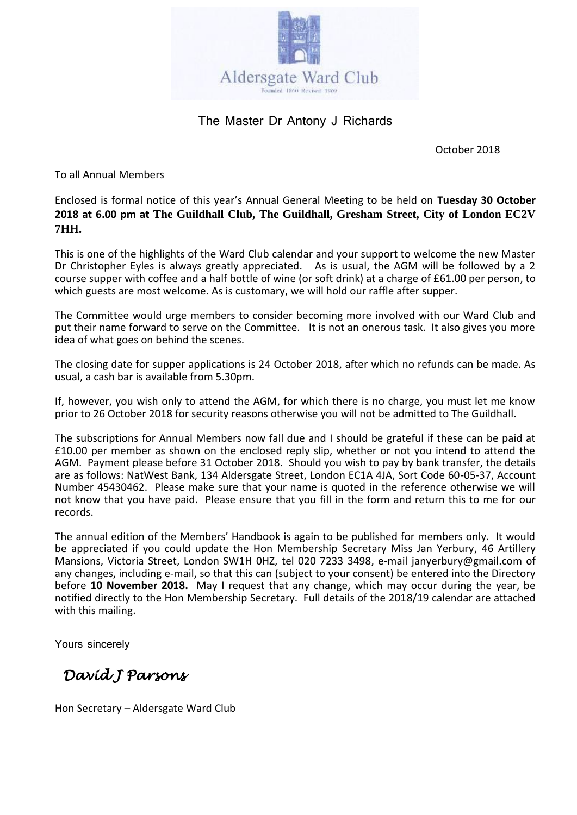

#### The Master Dr Antony J Richards

October 2018

To all Annual Members

Enclosed is formal notice of this year's Annual General Meeting to be held on **Tuesday 30 October 2018 at 6.00 pm at The Guildhall Club, The Guildhall, Gresham Street, City of London EC2V 7HH.**

This is one of the highlights of the Ward Club calendar and your support to welcome the new Master Dr Christopher Eyles is always greatly appreciated. As is usual, the AGM will be followed by a 2 course supper with coffee and a half bottle of wine (or soft drink) at a charge of £61.00 per person, to which guests are most welcome. As is customary, we will hold our raffle after supper.

The Committee would urge members to consider becoming more involved with our Ward Club and put their name forward to serve on the Committee. It is not an onerous task. It also gives you more idea of what goes on behind the scenes.

The closing date for supper applications is 24 October 2018, after which no refunds can be made. As usual, a cash bar is available from 5.30pm.

If, however, you wish only to attend the AGM, for which there is no charge, you must let me know prior to 26 October 2018 for security reasons otherwise you will not be admitted to The Guildhall.

The subscriptions for Annual Members now fall due and I should be grateful if these can be paid at £10.00 per member as shown on the enclosed reply slip, whether or not you intend to attend the AGM. Payment please before 31 October 2018. Should you wish to pay by bank transfer, the details are as follows: NatWest Bank, 134 Aldersgate Street, London EC1A 4JA, Sort Code 60-05-37, Account Number 45430462. Please make sure that your name is quoted in the reference otherwise we will not know that you have paid. Please ensure that you fill in the form and return this to me for our records.

The annual edition of the Members' Handbook is again to be published for members only. It would be appreciated if you could update the Hon Membership Secretary Miss Jan Yerbury, 46 Artillery Mansions, Victoria Street, London SW1H 0HZ, tel 020 7233 3498, e-mail janyerbury@gmail.com of any changes, including e-mail, so that this can (subject to your consent) be entered into the Directory before **10 November 2018.** May I request that any change, which may occur during the year, be notified directly to the Hon Membership Secretary. Full details of the 2018/19 calendar are attached with this mailing.

Yours sincerely

 *David J Parsons*

Hon Secretary – Aldersgate Ward Club